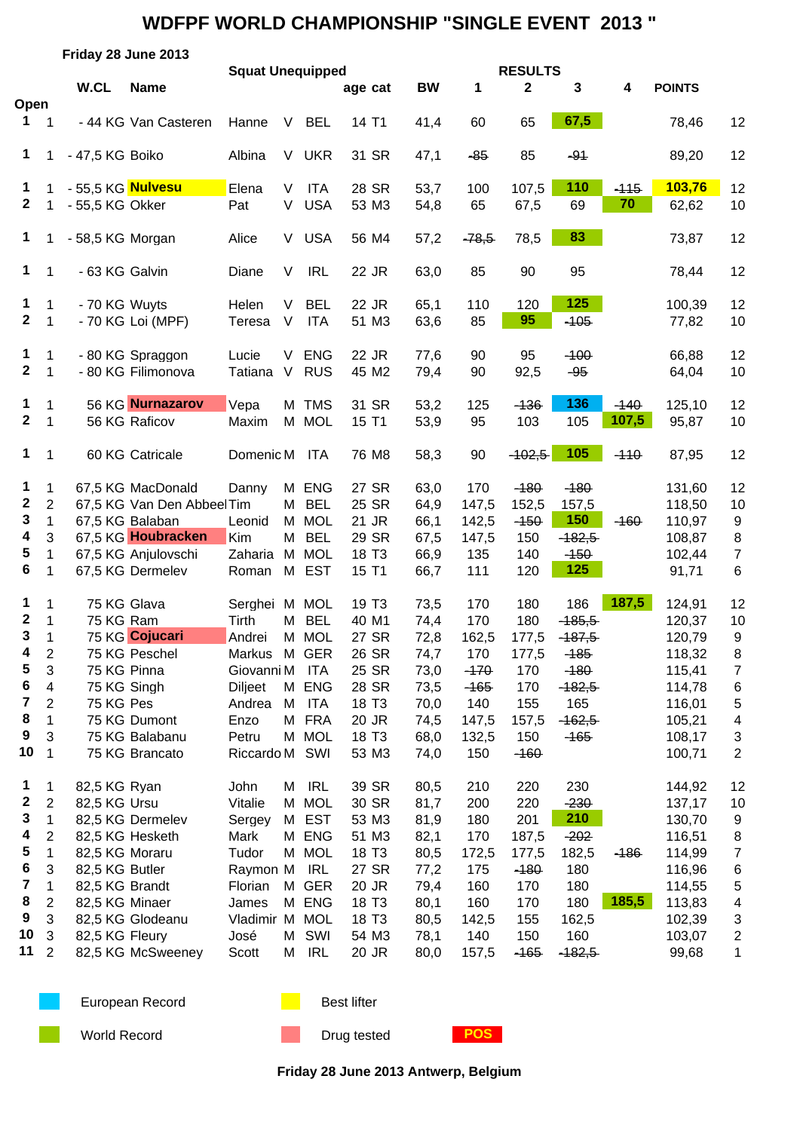## **WDFPF WORLD CHAMPIONSHIP "SINGLE EVENT 2013 "**

|                  |                | Friday 28 June 2013 | <b>Squat Unequipped</b>    |                |        |            |                   |           |         |                     |          |        |               |                           |
|------------------|----------------|---------------------|----------------------------|----------------|--------|------------|-------------------|-----------|---------|---------------------|----------|--------|---------------|---------------------------|
| Open             |                | W.CL                | <b>Name</b>                |                |        |            | age cat           | <b>BW</b> | 1       | <b>RESULTS</b><br>2 | 3        | 4      | <b>POINTS</b> |                           |
| 1                | 1              |                     | - 44 KG Van Casteren       | Hanne          | V      | <b>BEL</b> | 14 T1             | 41,4      | 60      | 65                  | 67,5     |        | 78,46         | 12                        |
| 1                | 1              | - 47,5 KG Boiko     |                            | Albina         | V      | <b>UKR</b> | 31 SR             | 47,1      | $-85$   | 85                  | $-91$    |        | 89,20         | 12                        |
| 1.               |                | - 55,5 KG Nulvesu   |                            | Elena          | V      | ITA        | 28 SR             | 53,7      | 100     | 107,5               | 110      | $-115$ | 103,76        | 12                        |
| $\mathbf{2}$     | 1              | - 55,5 KG Okker     |                            | Pat            | V      | <b>USA</b> | 53 M3             | 54,8      | 65      | 67,5                | 69       | 70     | 62,62         | 10                        |
| 1                | 1              | - 58,5 KG Morgan    |                            | Alice          |        | V USA      | 56 M4             | 57,2      | $-78,5$ | 78,5                | 83       |        | 73,87         | 12                        |
| 1                | $\mathbf 1$    | - 63 KG Galvin      |                            | Diane          | V      | <b>IRL</b> | 22 JR             | 63,0      | 85      | 90                  | 95       |        | 78,44         | 12                        |
| 1                | 1              | - 70 KG Wuyts       |                            | Helen          | V      | <b>BEL</b> | 22 JR             | 65,1      | 110     | 120                 | 125      |        | 100,39        | 12                        |
| $\mathbf{2}$     | $\mathbf 1$    |                     | - 70 KG Loi (MPF)          | Teresa         | $\vee$ | <b>ITA</b> | 51 M3             | 63,6      | 85      | 95                  | $-105$   |        | 77,82         | 10                        |
| 1                | $\mathbf{1}$   |                     | - 80 KG Spraggon           | Lucie          | V.     | <b>ENG</b> | 22 JR             | 77,6      | 90      | 95                  | $-100$   |        | 66,88         | 12                        |
| $\mathbf{2}$     | $\mathbf 1$    |                     | - 80 KG Filimonova         | Tatiana        | V      | <b>RUS</b> | 45 M2             | 79,4      | 90      | 92,5                | $-95$    |        | 64,04         | 10                        |
| 1                | $\mathbf 1$    |                     | 56 KG Nurnazarov           | Vepa           |        | M TMS      | 31 SR             | 53,2      | 125     | $-136$              | 136      | $-140$ | 125,10        | 12                        |
| $\boldsymbol{2}$ | $\mathbf{1}$   |                     | 56 KG Raficov              | Maxim          |        | M MOL      | 15 T1             | 53,9      | 95      | 103                 | 105      | 107,5  | 95,87         | 10                        |
| $\mathbf{1}$     | 1              |                     | 60 KG Catricale            | Domenic M      |        | ITA        | 76 M8             | 58,3      | 90      | $-102,5$            | 105      | $-110$ | 87,95         | 12                        |
| 1                | $\mathbf{1}$   |                     | 67,5 KG MacDonald          | Danny          |        | M ENG      | 27 SR             | 63,0      | 170     | $-180$              | $-180$   |        | 131,60        | 12                        |
| $\boldsymbol{2}$ | $\overline{2}$ |                     | 67,5 KG Van Den Abbeel Tim |                | M      | <b>BEL</b> | 25 SR             | 64,9      | 147,5   | 152,5               | 157,5    |        | 118,50        | 10                        |
| 3                | $\mathbf{1}$   |                     | 67,5 KG Balaban            | Leonid         |        | M MOL      | 21 JR             | 66,1      | 142,5   | $-150$              | 150      | $-160$ | 110,97        | 9                         |
| 4                | 3              |                     | 67,5 KG Houbracken         | Kim            |        | M BEL      | 29 SR             | 67,5      | 147,5   | 150                 | $-182,5$ |        | 108,87        | 8                         |
| 5                | $\mathbf 1$    |                     | 67,5 KG Anjulovschi        | Zaharia        | M      | <b>MOL</b> | 18 T <sub>3</sub> | 66,9      | 135     | 140                 | $-150$   |        | 102,44        | $\overline{7}$            |
| 6                | 1              |                     | 67,5 KG Dermelev           | Roman          |        | M EST      | 15 T1             | 66,7      | 111     | 120                 | 125      |        | 91,71         | 6                         |
| 1                | 1              | 75 KG Glava         |                            | Serghei M MOL  |        |            | 19 T <sub>3</sub> | 73,5      | 170     | 180                 | 186      | 187,5  | 124,91        | 12                        |
| $\mathbf 2$      | 1              | 75 KG Ram           |                            | Tirth          | M      | <b>BEL</b> | 40 M1             | 74,4      | 170     | 180                 | $-185,5$ |        | 120,37        | 10                        |
| 3                | $\mathbf{1}$   |                     | 75 KG Cojucari             | Andrei         |        | M MOL      | 27 SR             | 72,8      | 162,5   | 177,5               | $-187,5$ |        | 120,79        | 9                         |
| 4                | $\overline{c}$ |                     | 75 KG Peschel              | Markus M GER   |        |            | 26 SR             | 74,7      | 170     | 177,5               | -185     |        | 118,32        | 8                         |
| 5                | $\mathfrak{B}$ | 75 KG Pinna         |                            | Giovanni M ITA |        |            | 25 SR             | 73,0      | $-170$  | 170                 | $-180$   |        | 115,41        | $\overline{7}$            |
| 6                | $\overline{4}$ | 75 KG Singh         |                            | Diljeet        |        | M ENG      | 28 SR             | 73,5      | $-165$  | 170                 | $-182,5$ |        | 114,78        | 6                         |
| 7                | $\overline{2}$ | 75 KG Pes           |                            | Andrea         |        | M ITA      | 18 T <sub>3</sub> | 70,0      | 140     | 155                 | 165      |        | 116,01        | 5                         |
| 8                | 1              |                     | 75 KG Dumont               | Enzo           |        | M FRA      | 20 JR             | 74,5      | 147,5   | 157,5               | $-162,5$ |        | 105,21        | $\overline{\mathbf{4}}$   |
| 9                | 3              |                     | 75 KG Balabanu             | Petru          |        | M MOL      | 18 T <sub>3</sub> | 68,0      | 132,5   | 150                 | $-165$   |        | 108,17        | 3                         |
| 10               | 1              |                     | 75 KG Brancato             | Riccardo M SWI |        |            | 53 M3             | 74,0      | 150     | $-160$              |          |        | 100,71        | $\overline{2}$            |
| 1                | 1              | 82,5 KG Ryan        |                            | John           |        | M IRL      | 39 SR             | 80,5      | 210     | 220                 | 230      |        | 144,92        | 12                        |
| 2                | $\overline{2}$ | 82,5 KG Ursu        |                            | Vitalie        |        | M MOL      | 30 SR             | 81,7      | 200     | 220                 | $-230$   |        | 137,17        | 10                        |
| 3                | 1              |                     | 82,5 KG Dermelev           | Sergey         |        | M EST      | 53 M3             | 81,9      | 180     | 201                 | 210      |        | 130,70        | 9                         |
| 4                | $\overline{2}$ | 82,5 KG Hesketh     |                            | Mark           |        | M ENG      | 51 M3             | 82,1      | 170     | 187,5               | $-202$   |        | 116,51        | 8                         |
| 5                | 1              | 82,5 KG Moraru      |                            | Tudor          |        | M MOL      | 18 T <sub>3</sub> | 80,5      | 172,5   | 177,5               | 182,5    | $-186$ | 114,99        | $\overline{7}$            |
| 6                | 3              | 82,5 KG Butler      |                            | Raymon M       |        | IRL        | 27 SR             | 77,2      | 175     | $-180$              | 180      |        | 116,96        | 6                         |
| 7                | 1              | 82,5 KG Brandt      |                            | Florian        |        | M GER      | 20 JR             | 79,4      | 160     | 170                 | 180      |        | 114,55        | 5                         |
| 8                | $\overline{2}$ | 82,5 KG Minaer      |                            | James          |        | M ENG      | 18 T <sub>3</sub> | 80,1      | 160     | 170                 | 180      | 185,5  | 113,83        | 4                         |
| 9                | 3              |                     | 82,5 KG Glodeanu           | Vladimir M MOL |        |            | 18 T <sub>3</sub> | 80,5      | 142,5   | 155                 | 162,5    |        | 102,39        | $\ensuremath{\mathsf{3}}$ |
| 10               | $\mathfrak{B}$ | 82,5 KG Fleury      |                            | José           |        | M SWI      | 54 M3             | 78,1      | 140     | 150                 | 160      |        | 103,07        | $\overline{c}$            |
| 11               | $\overline{2}$ |                     | 82,5 KG McSweeney          | Scott          |        | M IRL      | 20 JR             | 80,0      | 157,5   | $-165$              | $-182,5$ |        | 99,68         | 1                         |
|                  |                |                     |                            |                |        |            |                   |           |         |                     |          |        |               |                           |



World Record **Drug tested POS** 

**Friday 28 June 2013 Antwerp, Belgium**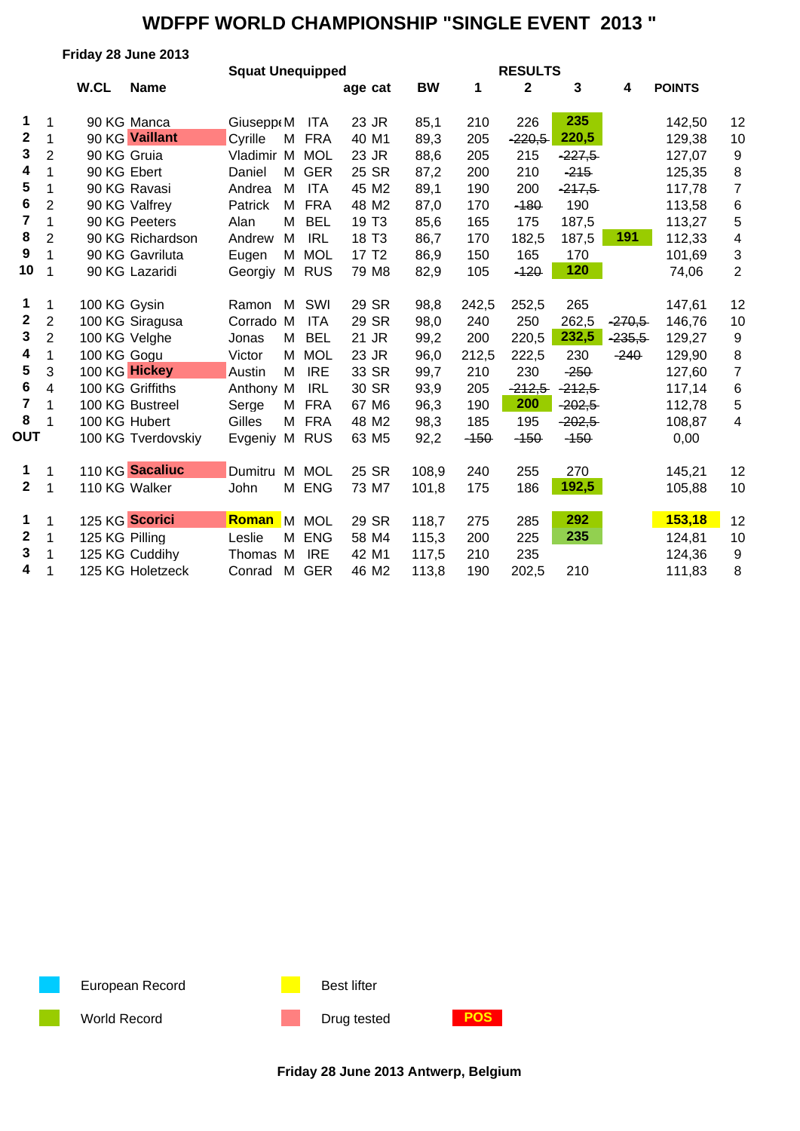## **WDFPF WORLD CHAMPIONSHIP "SINGLE EVENT 2013 "**

|                         |                |                | Friday 28 June 2013 |                         |                 |                   |           |        |                |          |          |               |                         |
|-------------------------|----------------|----------------|---------------------|-------------------------|-----------------|-------------------|-----------|--------|----------------|----------|----------|---------------|-------------------------|
|                         |                |                |                     | <b>Squat Unequipped</b> |                 |                   |           |        | <b>RESULTS</b> |          |          |               |                         |
|                         |                | W.CL           | <b>Name</b>         |                         |                 | age cat           | <b>BW</b> | 1      | $\mathbf 2$    | 3        | 4        | <b>POINTS</b> |                         |
|                         |                |                |                     |                         |                 |                   |           |        |                |          |          |               |                         |
| 1.                      | 1              |                | 90 KG Manca         | Giusepp M               | <b>ITA</b>      | 23 JR             | 85,1      | 210    | 226            | 235      |          | 142,50        | 12                      |
| 2                       | 1              |                | 90 KG Vaillant      | Cyrille                 | M<br><b>FRA</b> | 40 M1             | 89,3      | 205    | $-220,5$       | 220,5    |          | 129,38        | 10                      |
| 3                       | $\overline{2}$ | 90 KG Gruia    |                     | Vladimir M MOL          |                 | 23 JR             | 88,6      | 205    | 215            | $-227,5$ |          | 127,07        | 9                       |
| 4                       | 1              | 90 KG Ebert    |                     | Daniel                  | M GER           | 25 SR             | 87,2      | 200    | 210            | $-215$   |          | 125,35        | $\,8\,$                 |
| 5                       | 1              |                | 90 KG Ravasi        | Andrea                  | <b>ITA</b><br>M | 45 M2             | 89,1      | 190    | 200            | $-217,5$ |          | 117,78        | $\overline{7}$          |
| 6                       | $\overline{c}$ |                | 90 KG Valfrey       | Patrick                 | <b>FRA</b><br>М | 48 M2             | 87,0      | 170    | $-180$         | 190      |          | 113,58        | 6                       |
| 7                       | $\mathbf{1}$   |                | 90 KG Peeters       | Alan                    | <b>BEL</b><br>М | 19 T <sub>3</sub> | 85,6      | 165    | 175            | 187,5    |          | 113,27        | 5                       |
| 8                       | $\overline{2}$ |                | 90 KG Richardson    | Andrew                  | M<br><b>IRL</b> | 18 T <sub>3</sub> | 86,7      | 170    | 182,5          | 187,5    | 191      | 112,33        | $\overline{\mathbf{4}}$ |
| 9                       | $\mathbf{1}$   |                | 90 KG Gavriluta     | Eugen                   | M MOL           | 17 T <sub>2</sub> | 86,9      | 150    | 165            | 170      |          | 101,69        | 3                       |
| 10                      | 1              |                | 90 KG Lazaridi      | Georgiy M RUS           |                 | 79 M8             | 82,9      | 105    | $-120$         | 120      |          | 74,06         | $\overline{2}$          |
| 1                       | 1              | 100 KG Gysin   |                     | Ramon                   | SWI<br>М        | 29 SR             | 98,8      | 242,5  | 252,5          | 265      |          | 147,61        | 12                      |
| 2                       | $\overline{c}$ |                | 100 KG Siragusa     | Corrado M               | <b>ITA</b>      | 29 SR             | 98,0      | 240    | 250            | 262,5    | $-270,5$ | 146,76        | 10                      |
| 3                       | $\overline{2}$ |                | 100 KG Velghe       | Jonas                   | <b>BEL</b><br>M | 21 JR             | 99,2      | 200    | 220,5          | 232,5    | $-235,5$ | 129,27        | 9                       |
| 4                       | 1              | 100 KG Gogu    |                     | Victor                  | M MOL           | 23 JR             | 96,0      | 212,5  | 222,5          | 230      | $-240$   | 129,90        | 8                       |
| 5                       | 3              |                | 100 KG Hickey       | Austin                  | M<br><b>IRE</b> | 33 SR             | 99,7      | 210    | 230            | $-250$   |          | 127,60        | $\overline{7}$          |
| 6                       | 4              |                | 100 KG Griffiths    | Anthony M               | <b>IRL</b>      | 30 SR             | 93,9      | 205    | $-212,5$       | $-212,5$ |          | 117,14        | 6                       |
| 7                       | 1              |                | 100 KG Bustreel     | Serge                   | <b>FRA</b><br>M | 67 M6             | 96,3      | 190    | 200            | $-202,5$ |          | 112,78        | 5                       |
| 8                       |                |                | 100 KG Hubert       | Gilles                  | M FRA           | 48 M2             | 98,3      | 185    | 195            | $-202,5$ |          | 108,87        | 4                       |
| OUT                     |                |                | 100 KG Tverdovskiy  | Evgeniy                 | M<br><b>RUS</b> | 63 M <sub>5</sub> | 92,2      | $-150$ | $-150$         | $-150$   |          | 0,00          |                         |
| 1.                      | 1              |                | 110 KG Sacaliuc     | Dumitru M MOL           |                 | 25 SR             | 108,9     | 240    | 255            | 270      |          | 145,21        | 12                      |
| $\overline{\mathbf{2}}$ | 1              |                | 110 KG Walker       | John                    | M ENG           | 73 M7             | 101,8     | 175    | 186            | 192,5    |          | 105,88        | 10                      |
|                         |                |                |                     |                         |                 |                   |           |        |                |          |          |               |                         |
| 1                       | 1              |                | 125 KG Scorici      | <b>Roman</b> M MOL      |                 | 29 SR             | 118,7     | 275    | 285            | 292      |          | 153,18        | 12                      |
| 2                       | 1              | 125 KG Pilling |                     | Leslie                  | M ENG           | 58 M4             | 115,3     | 200    | 225            | 235      |          | 124,81        | 10                      |
| 3                       | 1              |                | 125 KG Cuddihy      | Thomas M                | <b>IRE</b>      | 42 M1             | 117,5     | 210    | 235            |          |          | 124,36        | 9                       |
| 4                       | 1              |                | 125 KG Holetzeck    | Conrad                  | M GER           | 46 M2             | 113,8     | 190    | 202,5          | 210      |          | 111,83        | 8                       |

European Record **Best lifter** Best lifter



**Friday 28 June 2013 Antwerp, Belgium**